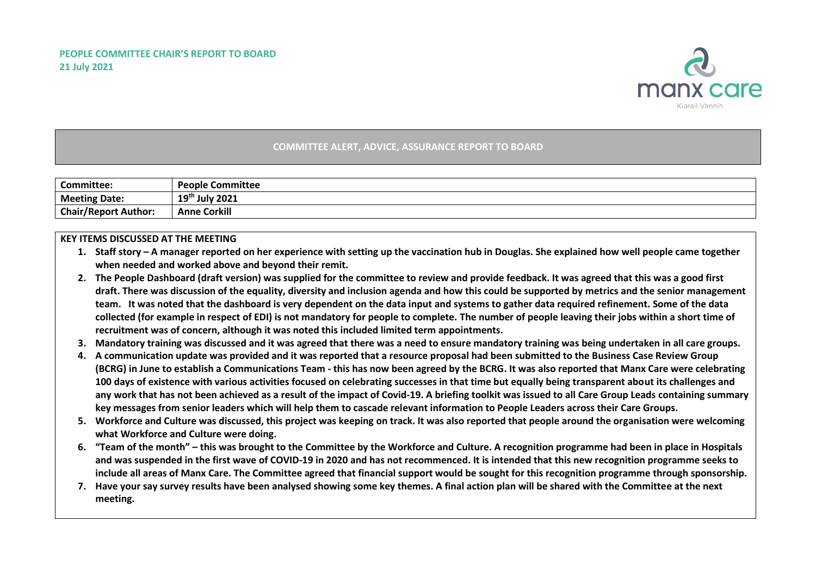

## **COMMITTEE ALERT, ADVICE, ASSURANCE REPORT TO BOARD**

| <b>Committee:</b>           | <b>People Committee</b>    |
|-----------------------------|----------------------------|
| <b>Meeting Date:</b>        | 19 <sup>th</sup> July 2021 |
| <b>Chair/Report Author:</b> | <b>Anne Corkill</b>        |

## **KEY ITEMS DISCUSSED AT THE MEETING**

- **1. Staff story – A manager reported on her experience with setting up the vaccination hub in Douglas. She explained how well people came together when needed and worked above and beyond their remit.**
- **2. The People Dashboard (draft version) was supplied for the committee to review and provide feedback. It was agreed that this was a good first draft. There was discussion of the equality, diversity and inclusion agenda and how this could be supported by metrics and the senior management team. It was noted that the dashboard is very dependent on the data input and systems to gather data required refinement. Some of the data collected (for example in respect of EDI) is not mandatory for people to complete. The number of people leaving their jobs within a short time of recruitment was of concern, although it was noted this included limited term appointments.**
- **3. Mandatory training was discussed and it was agreed that there was a need to ensure mandatory training was being undertaken in all care groups.**
- **4. A communication update was provided and it was reported that a resource proposal had been submitted to the Business Case Review Group (BCRG) in June to establish a Communications Team - this has now been agreed by the BCRG. It was also reported that Manx Care were celebrating 100 days of existence with various activities focused on celebrating successes in that time but equally being transparent about its challenges and any work that has not been achieved as a result of the impact of Covid-19. A briefing toolkit was issued to all Care Group Leads containing summary key messages from senior leaders which will help them to cascade relevant information to People Leaders across their Care Groups.**
- **5. Workforce and Culture was discussed, this project was keeping on track. It was also reported that people around the organisation were welcoming what Workforce and Culture were doing.**
- **6. "Team of the month" – this was brought to the Committee by the Workforce and Culture. A recognition programme had been in place in Hospitals and was suspended in the first wave of COVID-19 in 2020 and has not recommenced. It is intended that this new recognition programme seeks to include all areas of Manx Care. The Committee agreed that financial support would be sought for this recognition programme through sponsorship.**
- **7. Have your say survey results have been analysed showing some key themes. A final action plan will be shared with the Committee at the next meeting.**